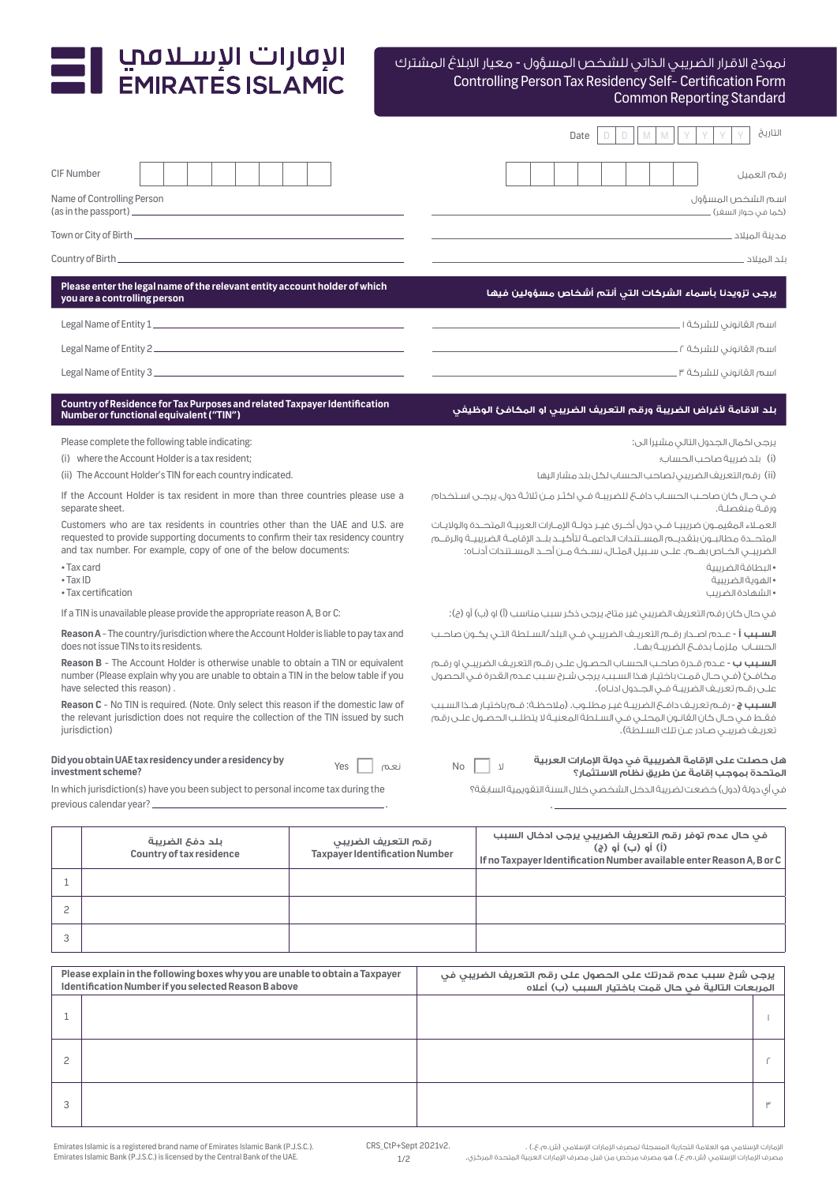## I الإقارات الإسـلامبي<br>EMIRATES ISLAMIC

## Controlling Person Tax Residency Self- Certification Form Common Reporting Standard نموذج االقرار الضريبي الذاتي للشخص المسؤول - معيار االبالغ المشترك

|                                                                                                                                                                                                              |                                                                                                                                                                                                                                      |                                                              |                                                                                                                                                                                                                              |                                                                                                                                                                                                                       |  | Date |                   |  | التاريخ                                                                                                                       |
|--------------------------------------------------------------------------------------------------------------------------------------------------------------------------------------------------------------|--------------------------------------------------------------------------------------------------------------------------------------------------------------------------------------------------------------------------------------|--------------------------------------------------------------|------------------------------------------------------------------------------------------------------------------------------------------------------------------------------------------------------------------------------|-----------------------------------------------------------------------------------------------------------------------------------------------------------------------------------------------------------------------|--|------|-------------------|--|-------------------------------------------------------------------------------------------------------------------------------|
| <b>CIF Number</b>                                                                                                                                                                                            |                                                                                                                                                                                                                                      |                                                              |                                                                                                                                                                                                                              |                                                                                                                                                                                                                       |  |      |                   |  | قم العميل                                                                                                                     |
|                                                                                                                                                                                                              | Name of Controlling Person<br>(as in the passport) ______                                                                                                                                                                            |                                                              |                                                                                                                                                                                                                              |                                                                                                                                                                                                                       |  |      |                   |  | اسم الشخص المسؤول<br>(کما فی جواز السغر) _                                                                                    |
|                                                                                                                                                                                                              |                                                                                                                                                                                                                                      |                                                              |                                                                                                                                                                                                                              |                                                                                                                                                                                                                       |  |      |                   |  |                                                                                                                               |
|                                                                                                                                                                                                              |                                                                                                                                                                                                                                      |                                                              |                                                                                                                                                                                                                              |                                                                                                                                                                                                                       |  |      |                   |  |                                                                                                                               |
|                                                                                                                                                                                                              | Please enter the legal name of the relevant entity account holder of which<br>you are a controlling person                                                                                                                           |                                                              |                                                                                                                                                                                                                              |                                                                                                                                                                                                                       |  |      |                   |  | يرجى تزويدنا بأسماء الشركات التى أنتم أشخاص مسؤولين فيها                                                                      |
|                                                                                                                                                                                                              | Legal Name of Entity 1                                                                                                                                                                                                               |                                                              |                                                                                                                                                                                                                              |                                                                                                                                                                                                                       |  |      |                   |  | اسم القانوني للشركة المستسمى المستحدث المستحدث                                                                                |
|                                                                                                                                                                                                              |                                                                                                                                                                                                                                      |                                                              |                                                                                                                                                                                                                              |                                                                                                                                                                                                                       |  |      |                   |  |                                                                                                                               |
|                                                                                                                                                                                                              |                                                                                                                                                                                                                                      |                                                              |                                                                                                                                                                                                                              |                                                                                                                                                                                                                       |  |      |                   |  |                                                                                                                               |
|                                                                                                                                                                                                              | Country of Residence for Tax Purposes and related Taxpayer Identification<br>Number or functional equivalent ("TIN")                                                                                                                 |                                                              |                                                                                                                                                                                                                              |                                                                                                                                                                                                                       |  |      |                   |  | بلد الاقامة لأغراض الضريبة ورقم التعريف الضريبي او المكافئ الوظيفي                                                            |
|                                                                                                                                                                                                              | Please complete the following table indicating:                                                                                                                                                                                      |                                                              |                                                                                                                                                                                                                              |                                                                                                                                                                                                                       |  |      |                   |  | يرجى اكمال الجدول التالى مشيراً الى:                                                                                          |
|                                                                                                                                                                                                              | (i) where the Account Holder is a tax resident;                                                                                                                                                                                      |                                                              |                                                                                                                                                                                                                              |                                                                                                                                                                                                                       |  |      |                   |  | (i) بلد ضريبة صاحب الحساب؛                                                                                                    |
|                                                                                                                                                                                                              | (ii) The Account Holder's TIN for each country indicated.                                                                                                                                                                            |                                                              |                                                                                                                                                                                                                              |                                                                                                                                                                                                                       |  |      |                   |  | (ii) رقم التعريف الضريبي لصاحب الحساب لكل بلد مشار اليها                                                                      |
|                                                                                                                                                                                                              | If the Account Holder is tax resident in more than three countries please use a<br>separate sheet.                                                                                                                                   |                                                              |                                                                                                                                                                                                                              | ورقية منفصلة.                                                                                                                                                                                                         |  |      |                   |  |                                                                                                                               |
|                                                                                                                                                                                                              | Customers who are tax residents in countries other than the UAE and U.S. are<br>requested to provide supporting documents to confirm their tax residency country<br>and tax number. For example, copy of one of the below documents: |                                                              |                                                                                                                                                                                                                              | العمــلاء المقيمــون ضريبيــا فـــى دول أُضـرى غيــر دولــة الإمــارات العربيــة المتحــدة والولايـات<br>المتحــدة مطالبــون بتقديــم المســتندات الداعمــة لتأكيــد بلــد الإقامــة الضريبيــة والرقــم              |  |      |                   |  |                                                                                                                               |
| • Tax card<br>$\bullet$ Tax ID                                                                                                                                                                               | • Tax certification                                                                                                                                                                                                                  |                                                              |                                                                                                                                                                                                                              |                                                                                                                                                                                                                       |  |      |                   |  | • البطاقة الضربية<br>• الهوية الضربيبة<br>• الشهادة الضرب                                                                     |
| If a TIN is unavailable please provide the appropriate reason A, B or C:                                                                                                                                     |                                                                                                                                                                                                                                      |                                                              |                                                                                                                                                                                                                              | في حال كان رقم التعريف الضريبي غير متاح، يرجى ذكر سبب مناسب (أ) او (ب) أو (ج):                                                                                                                                        |  |      |                   |  |                                                                                                                               |
| Reason A - The country/jurisdiction where the Account Holder is liable to pay tax and<br>does not issue TINs to its residents.                                                                               |                                                                                                                                                                                                                                      |                                                              |                                                                                                                                                                                                                              | <b>السبب أ</b> - عـدم اصـدار رقــم التعريــف الضريبــى فــى البلد/السـلطة التـى يكـون صاحــب<br>الحسـاب ملزمـاً بـدفــع الضريبــة بهـا.                                                                               |  |      |                   |  |                                                                                                                               |
| <b>Reason B</b> - The Account Holder is otherwise unable to obtain a TIN or equivalent<br>number (Please explain why you are unable to obtain a TIN in the below table if you<br>have selected this reason). |                                                                                                                                                                                                                                      |                                                              |                                                                                                                                                                                                                              | <b>السبيب ب</b> - عدم قدرة صاحب الحساب الحصول على رقم التعريف الضربيي أو رقيم<br>مكافئ (فــى حـال قمـت باختيـار هذا السـبـب يرجـى شـرح سـبـب عـدم القدرة فـى الحصول<br>علـى رقـم تعريـف الضريبـة فـى الجـدول ادنـاه). |  |      |                   |  |                                                                                                                               |
| Reason C - No TIN is required. (Note. Only select this reason if the domestic law of<br>the relevant jurisdiction does not require the collection of the TIN issued by such<br>jurisdiction)                 |                                                                                                                                                                                                                                      |                                                              | <b>السبب ج</b> - رقــم تعريـف دافــع الضريبـة غيـر مطلــوب. (ملاحظـة: قــم باختيـار هــذا السـبب<br>فقط فـي حـال كان القانـون المحلـي فـي السـلطة المعنيـة لا يتطلـب الحصـول علـى رقـم<br>تعريف ضريبي صادر عـن تلك السـلطة). |                                                                                                                                                                                                                       |  |      |                   |  |                                                                                                                               |
|                                                                                                                                                                                                              | Did you obtain UAE tax residency under a residency by<br>investment scheme?                                                                                                                                                          | Yes<br>نعم                                                   | No                                                                                                                                                                                                                           |                                                                                                                                                                                                                       |  |      |                   |  | هل حصلت على الإقامة الضريبية في دولة الإمارات العربية<br>المتحدة بموجب إقامة عن طريق نظام الاستثمار؟                          |
|                                                                                                                                                                                                              | In which jurisdiction(s) have you been subject to personal income tax during the                                                                                                                                                     |                                                              |                                                                                                                                                                                                                              |                                                                                                                                                                                                                       |  |      |                   |  | في أي دولة (دول) خضعت لضريبة الدخل الشخصي خلال السنة التقويمية السابقة؟                                                       |
|                                                                                                                                                                                                              | previous calendar year? __                                                                                                                                                                                                           |                                                              |                                                                                                                                                                                                                              |                                                                                                                                                                                                                       |  |      |                   |  |                                                                                                                               |
|                                                                                                                                                                                                              | بلد دفع الضريبة<br>Country of tax residence                                                                                                                                                                                          | رقم التعريف الضريبى<br><b>Taxpayer Identification Number</b> |                                                                                                                                                                                                                              |                                                                                                                                                                                                                       |  |      | (i) أو (ب) أو (ج) |  | في حال عدم توفر رقم التعريف الضريبي يرجى ادخال السبب<br>If no Taxpayer Identification Number available enter Reason A, B or C |
| 1                                                                                                                                                                                                            |                                                                                                                                                                                                                                      |                                                              |                                                                                                                                                                                                                              |                                                                                                                                                                                                                       |  |      |                   |  |                                                                                                                               |
| 2                                                                                                                                                                                                            |                                                                                                                                                                                                                                      |                                                              |                                                                                                                                                                                                                              |                                                                                                                                                                                                                       |  |      |                   |  |                                                                                                                               |

| Please explain in the following boxes why you are unable to obtain a Taxpayer<br>Identification Number if you selected Reason B above | يرجى شرح سبب عدم قدرتك على الحصول على رقم التعريف الضريبي في<br>المربعات التالية في حال قمت باختيار السبب (ب) أعلاه |  |  |  |  |  |
|---------------------------------------------------------------------------------------------------------------------------------------|---------------------------------------------------------------------------------------------------------------------|--|--|--|--|--|
|                                                                                                                                       |                                                                                                                     |  |  |  |  |  |
|                                                                                                                                       |                                                                                                                     |  |  |  |  |  |
|                                                                                                                                       |                                                                                                                     |  |  |  |  |  |

3